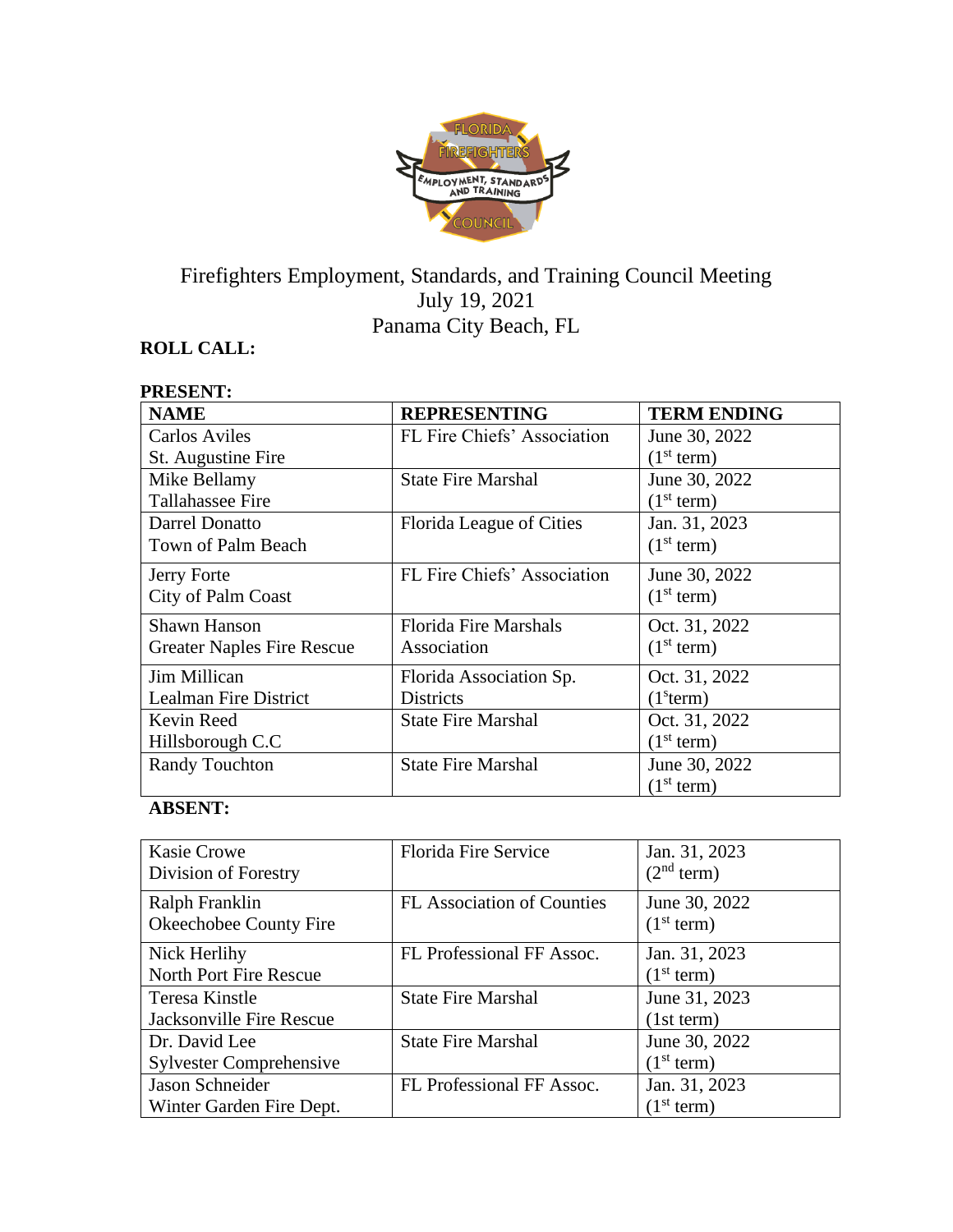

# Firefighters Employment, Standards, and Training Council Meeting July 19, 2021 Panama City Beach, FL

## **ROLL CALL:**

**PRESENT:**

| PRESENT:                          |                              |                        |
|-----------------------------------|------------------------------|------------------------|
| <b>NAME</b>                       | <b>REPRESENTING</b>          | <b>TERM ENDING</b>     |
| <b>Carlos Aviles</b>              | FL Fire Chiefs' Association  | June 30, 2022          |
| St. Augustine Fire                |                              | (1 <sup>st</sup> term) |
| Mike Bellamy                      | <b>State Fire Marshal</b>    | June 30, 2022          |
| <b>Tallahassee Fire</b>           |                              | (1 <sup>st</sup> term) |
| Darrel Donatto                    | Florida League of Cities     | Jan. 31, 2023          |
| Town of Palm Beach                |                              | (1 <sup>st</sup> term) |
| Jerry Forte                       | FL Fire Chiefs' Association  | June 30, 2022          |
| City of Palm Coast                |                              | (1 <sup>st</sup> term) |
| <b>Shawn Hanson</b>               | <b>Florida Fire Marshals</b> | Oct. 31, 2022          |
| <b>Greater Naples Fire Rescue</b> | Association                  | (1 <sup>st</sup> term) |
| Jim Millican                      | Florida Association Sp.      | Oct. 31, 2022          |
| <b>Lealman Fire District</b>      | <b>Districts</b>             | (1 <sup>s</sup> term)  |
| Kevin Reed                        | <b>State Fire Marshal</b>    | Oct. 31, 2022          |
| Hillsborough C.C                  |                              | (1 <sup>st</sup> term) |
| <b>Randy Touchton</b>             | <b>State Fire Marshal</b>    | June 30, 2022          |
|                                   |                              | (1 <sup>st</sup> term) |

## **ABSENT:**

| <b>Kasie Crowe</b><br>Division of Forestry      | <b>Florida Fire Service</b>       | Jan. 31, 2023<br>(2 <sup>nd</sup> term) |
|-------------------------------------------------|-----------------------------------|-----------------------------------------|
| Ralph Franklin<br>Okeechobee County Fire        | <b>FL Association of Counties</b> | June 30, 2022<br>(1 <sup>st</sup> term) |
| Nick Herlihy<br>North Port Fire Rescue          | FL Professional FF Assoc.         | Jan. 31, 2023<br>(1 <sup>st</sup> term) |
| Teresa Kinstle<br>Jacksonville Fire Rescue      | <b>State Fire Marshal</b>         | June 31, 2023<br>(1st term)             |
| Dr. David Lee<br><b>Sylvester Comprehensive</b> | <b>State Fire Marshal</b>         | June 30, 2022<br>(1 <sup>st</sup> term) |
| Jason Schneider<br>Winter Garden Fire Dept.     | FL Professional FF Assoc.         | Jan. 31, 2023<br>(1 <sup>st</sup> term) |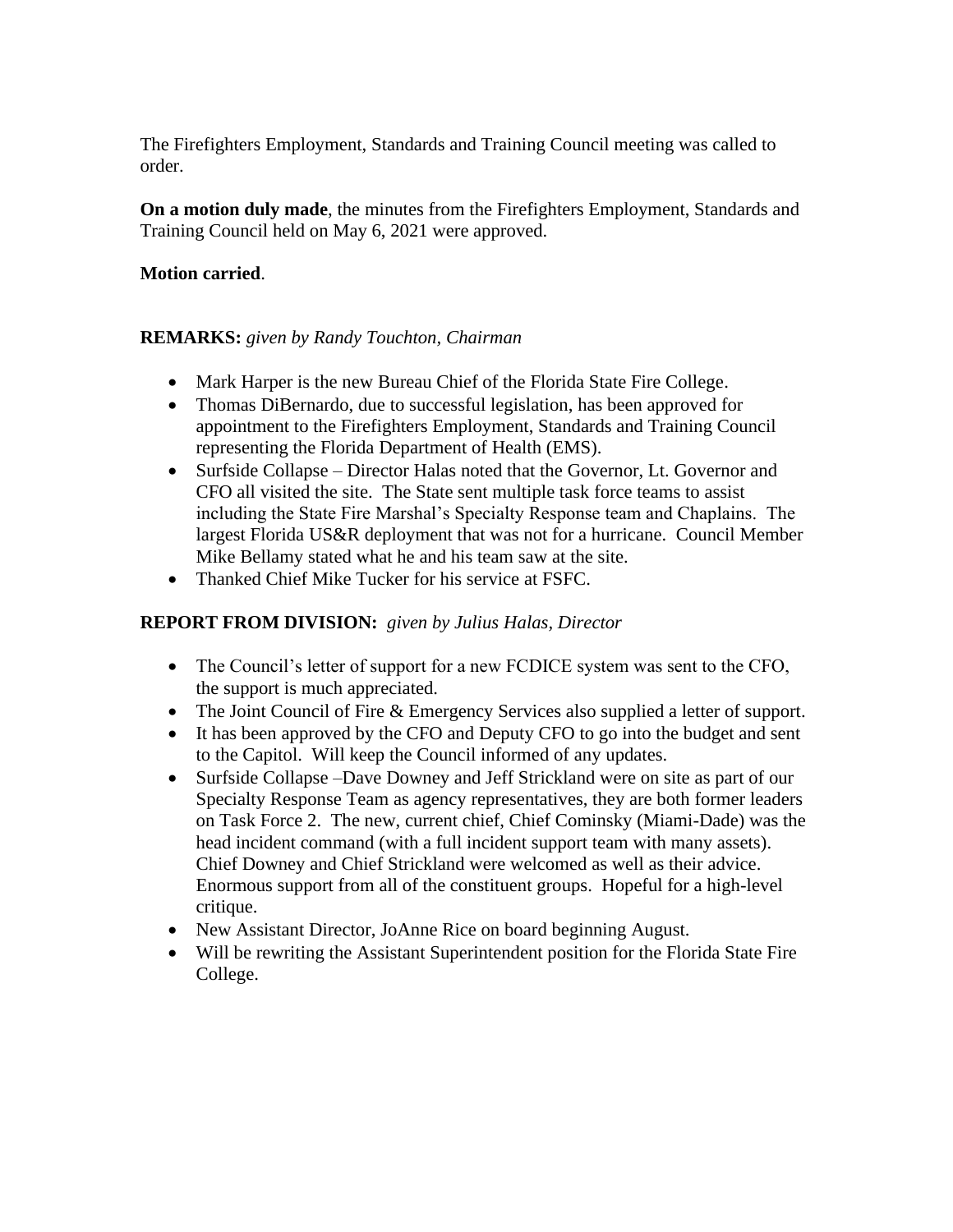The Firefighters Employment, Standards and Training Council meeting was called to order.

**On a motion duly made**, the minutes from the Firefighters Employment, Standards and Training Council held on May 6, 2021 were approved.

## **Motion carried**.

## **REMARKS:** *given by Randy Touchton, Chairman*

- Mark Harper is the new Bureau Chief of the Florida State Fire College.
- Thomas DiBernardo, due to successful legislation, has been approved for appointment to the Firefighters Employment, Standards and Training Council representing the Florida Department of Health (EMS).
- Surfside Collapse Director Halas noted that the Governor, Lt. Governor and CFO all visited the site. The State sent multiple task force teams to assist including the State Fire Marshal's Specialty Response team and Chaplains. The largest Florida US&R deployment that was not for a hurricane. Council Member Mike Bellamy stated what he and his team saw at the site.
- Thanked Chief Mike Tucker for his service at FSFC.

## **REPORT FROM DIVISION:** *given by Julius Halas, Director*

- The Council's letter of support for a new FCDICE system was sent to the CFO, the support is much appreciated.
- The Joint Council of Fire & Emergency Services also supplied a letter of support.
- It has been approved by the CFO and Deputy CFO to go into the budget and sent to the Capitol. Will keep the Council informed of any updates.
- Surfside Collapse –Dave Downey and Jeff Strickland were on site as part of our Specialty Response Team as agency representatives, they are both former leaders on Task Force 2. The new, current chief, Chief Cominsky (Miami-Dade) was the head incident command (with a full incident support team with many assets). Chief Downey and Chief Strickland were welcomed as well as their advice. Enormous support from all of the constituent groups. Hopeful for a high-level critique.
- New Assistant Director, JoAnne Rice on board beginning August.
- Will be rewriting the Assistant Superintendent position for the Florida State Fire College.